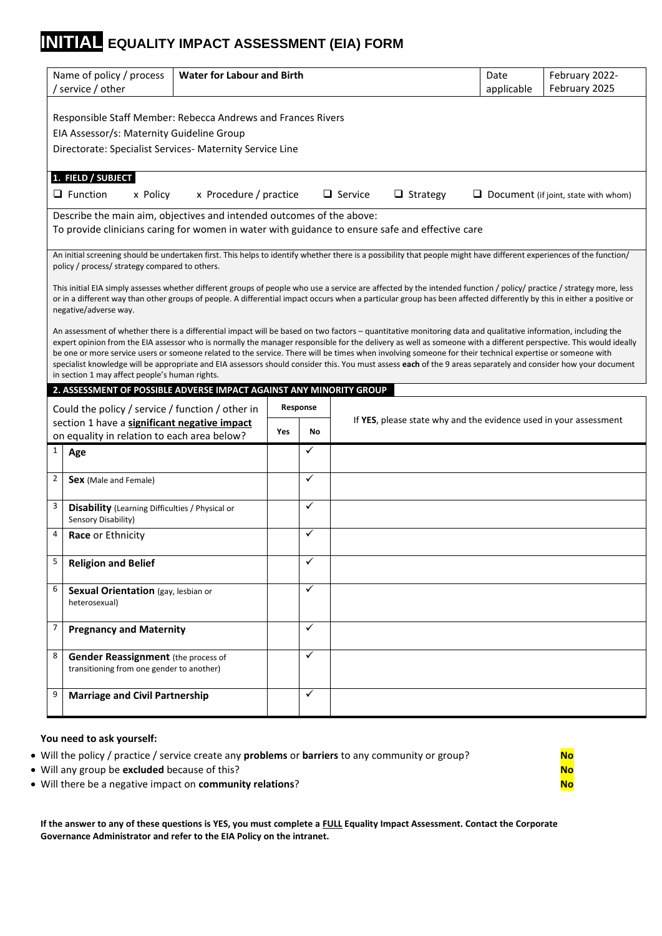## **INITIAL EQUALITY IMPACT ASSESSMENT (EIA) FORM**

| <b>Water for Labour and Birth</b><br>Name of policy / process<br>Date<br>February 2025<br>' service / other<br>applicable<br>Responsible Staff Member: Rebecca Andrews and Frances Rivers<br>EIA Assessor/s: Maternity Guideline Group<br>Directorate: Specialist Services- Maternity Service Line<br>1. FIELD / SUBJECT<br>$\Box$ Function<br>x Procedure / practice<br>$\Box$ Service<br>$\Box$ Strategy<br>x Policy<br>$\Box$ Document (if joint, state with whom)<br>Describe the main aim, objectives and intended outcomes of the above:<br>To provide clinicians caring for women in water with guidance to ensure safe and effective care<br>An initial screening should be undertaken first. This helps to identify whether there is a possibility that people might have different experiences of the function/<br>policy / process/ strategy compared to others.<br>This initial EIA simply assesses whether different groups of people who use a service are affected by the intended function / policy/ practice / strategy more, less<br>or in a different way than other groups of people. A differential impact occurs when a particular group has been affected differently by this in either a positive or<br>negative/adverse way.<br>An assessment of whether there is a differential impact will be based on two factors – quantitative monitoring data and qualitative information, including the<br>expert opinion from the EIA assessor who is normally the manager responsible for the delivery as well as someone with a different perspective. This would ideally<br>be one or more service users or someone related to the service. There will be times when involving someone for their technical expertise or someone with<br>specialist knowledge will be appropriate and EIA assessors should consider this. You must assess each of the 9 areas separately and consider how your document<br>in section 1 may affect people's human rights.<br>2. ASSESSMENT OF POSSIBLE ADVERSE IMPACT AGAINST ANY MINORITY GROUP<br>Response<br>Could the policy / service / function / other in<br>If YES, please state why and the evidence used in your assessment<br>section 1 have a significant negative impact<br>Yes<br>No<br>on equality in relation to each area below?<br>✓<br>$\mathbf{1}$<br>Age<br>$\checkmark$<br>$\overline{2}$<br>Sex (Male and Female)<br>$\checkmark$<br>3<br><b>Disability</b> (Learning Difficulties / Physical or<br>Sensory Disability)<br>$\checkmark$<br>4<br>Race or Ethnicity<br>✓<br>5<br><b>Religion and Belief</b><br>$\checkmark$<br>6<br>Sexual Orientation (gay, lesbian or<br>heterosexual)<br>$\overline{7}$<br>✓<br><b>Pregnancy and Maternity</b><br>$\checkmark$<br>8<br><b>Gender Reassignment</b> (the process of<br>transitioning from one gender to another)<br>✓<br>9<br><b>Marriage and Civil Partnership</b> |  |  |  |  |  |  |                |
|----------------------------------------------------------------------------------------------------------------------------------------------------------------------------------------------------------------------------------------------------------------------------------------------------------------------------------------------------------------------------------------------------------------------------------------------------------------------------------------------------------------------------------------------------------------------------------------------------------------------------------------------------------------------------------------------------------------------------------------------------------------------------------------------------------------------------------------------------------------------------------------------------------------------------------------------------------------------------------------------------------------------------------------------------------------------------------------------------------------------------------------------------------------------------------------------------------------------------------------------------------------------------------------------------------------------------------------------------------------------------------------------------------------------------------------------------------------------------------------------------------------------------------------------------------------------------------------------------------------------------------------------------------------------------------------------------------------------------------------------------------------------------------------------------------------------------------------------------------------------------------------------------------------------------------------------------------------------------------------------------------------------------------------------------------------------------------------------------------------------------------------------------------------------------------------------------------------------------------------------------------------------------------------------------------------------------------------------------------------------------------------------------------------------------------------------------------------------------------------------------------------------------------------------------------------------------------------------------------------------------------------------------------------------------------------------------------------------------------------------------------------------------------------------------------------------------------------------------------------------------------------------|--|--|--|--|--|--|----------------|
|                                                                                                                                                                                                                                                                                                                                                                                                                                                                                                                                                                                                                                                                                                                                                                                                                                                                                                                                                                                                                                                                                                                                                                                                                                                                                                                                                                                                                                                                                                                                                                                                                                                                                                                                                                                                                                                                                                                                                                                                                                                                                                                                                                                                                                                                                                                                                                                                                                                                                                                                                                                                                                                                                                                                                                                                                                                                                              |  |  |  |  |  |  | February 2022- |
|                                                                                                                                                                                                                                                                                                                                                                                                                                                                                                                                                                                                                                                                                                                                                                                                                                                                                                                                                                                                                                                                                                                                                                                                                                                                                                                                                                                                                                                                                                                                                                                                                                                                                                                                                                                                                                                                                                                                                                                                                                                                                                                                                                                                                                                                                                                                                                                                                                                                                                                                                                                                                                                                                                                                                                                                                                                                                              |  |  |  |  |  |  |                |
|                                                                                                                                                                                                                                                                                                                                                                                                                                                                                                                                                                                                                                                                                                                                                                                                                                                                                                                                                                                                                                                                                                                                                                                                                                                                                                                                                                                                                                                                                                                                                                                                                                                                                                                                                                                                                                                                                                                                                                                                                                                                                                                                                                                                                                                                                                                                                                                                                                                                                                                                                                                                                                                                                                                                                                                                                                                                                              |  |  |  |  |  |  |                |
|                                                                                                                                                                                                                                                                                                                                                                                                                                                                                                                                                                                                                                                                                                                                                                                                                                                                                                                                                                                                                                                                                                                                                                                                                                                                                                                                                                                                                                                                                                                                                                                                                                                                                                                                                                                                                                                                                                                                                                                                                                                                                                                                                                                                                                                                                                                                                                                                                                                                                                                                                                                                                                                                                                                                                                                                                                                                                              |  |  |  |  |  |  |                |
|                                                                                                                                                                                                                                                                                                                                                                                                                                                                                                                                                                                                                                                                                                                                                                                                                                                                                                                                                                                                                                                                                                                                                                                                                                                                                                                                                                                                                                                                                                                                                                                                                                                                                                                                                                                                                                                                                                                                                                                                                                                                                                                                                                                                                                                                                                                                                                                                                                                                                                                                                                                                                                                                                                                                                                                                                                                                                              |  |  |  |  |  |  |                |
|                                                                                                                                                                                                                                                                                                                                                                                                                                                                                                                                                                                                                                                                                                                                                                                                                                                                                                                                                                                                                                                                                                                                                                                                                                                                                                                                                                                                                                                                                                                                                                                                                                                                                                                                                                                                                                                                                                                                                                                                                                                                                                                                                                                                                                                                                                                                                                                                                                                                                                                                                                                                                                                                                                                                                                                                                                                                                              |  |  |  |  |  |  |                |
|                                                                                                                                                                                                                                                                                                                                                                                                                                                                                                                                                                                                                                                                                                                                                                                                                                                                                                                                                                                                                                                                                                                                                                                                                                                                                                                                                                                                                                                                                                                                                                                                                                                                                                                                                                                                                                                                                                                                                                                                                                                                                                                                                                                                                                                                                                                                                                                                                                                                                                                                                                                                                                                                                                                                                                                                                                                                                              |  |  |  |  |  |  |                |
|                                                                                                                                                                                                                                                                                                                                                                                                                                                                                                                                                                                                                                                                                                                                                                                                                                                                                                                                                                                                                                                                                                                                                                                                                                                                                                                                                                                                                                                                                                                                                                                                                                                                                                                                                                                                                                                                                                                                                                                                                                                                                                                                                                                                                                                                                                                                                                                                                                                                                                                                                                                                                                                                                                                                                                                                                                                                                              |  |  |  |  |  |  |                |
|                                                                                                                                                                                                                                                                                                                                                                                                                                                                                                                                                                                                                                                                                                                                                                                                                                                                                                                                                                                                                                                                                                                                                                                                                                                                                                                                                                                                                                                                                                                                                                                                                                                                                                                                                                                                                                                                                                                                                                                                                                                                                                                                                                                                                                                                                                                                                                                                                                                                                                                                                                                                                                                                                                                                                                                                                                                                                              |  |  |  |  |  |  |                |
|                                                                                                                                                                                                                                                                                                                                                                                                                                                                                                                                                                                                                                                                                                                                                                                                                                                                                                                                                                                                                                                                                                                                                                                                                                                                                                                                                                                                                                                                                                                                                                                                                                                                                                                                                                                                                                                                                                                                                                                                                                                                                                                                                                                                                                                                                                                                                                                                                                                                                                                                                                                                                                                                                                                                                                                                                                                                                              |  |  |  |  |  |  |                |
|                                                                                                                                                                                                                                                                                                                                                                                                                                                                                                                                                                                                                                                                                                                                                                                                                                                                                                                                                                                                                                                                                                                                                                                                                                                                                                                                                                                                                                                                                                                                                                                                                                                                                                                                                                                                                                                                                                                                                                                                                                                                                                                                                                                                                                                                                                                                                                                                                                                                                                                                                                                                                                                                                                                                                                                                                                                                                              |  |  |  |  |  |  |                |
|                                                                                                                                                                                                                                                                                                                                                                                                                                                                                                                                                                                                                                                                                                                                                                                                                                                                                                                                                                                                                                                                                                                                                                                                                                                                                                                                                                                                                                                                                                                                                                                                                                                                                                                                                                                                                                                                                                                                                                                                                                                                                                                                                                                                                                                                                                                                                                                                                                                                                                                                                                                                                                                                                                                                                                                                                                                                                              |  |  |  |  |  |  |                |
|                                                                                                                                                                                                                                                                                                                                                                                                                                                                                                                                                                                                                                                                                                                                                                                                                                                                                                                                                                                                                                                                                                                                                                                                                                                                                                                                                                                                                                                                                                                                                                                                                                                                                                                                                                                                                                                                                                                                                                                                                                                                                                                                                                                                                                                                                                                                                                                                                                                                                                                                                                                                                                                                                                                                                                                                                                                                                              |  |  |  |  |  |  |                |
|                                                                                                                                                                                                                                                                                                                                                                                                                                                                                                                                                                                                                                                                                                                                                                                                                                                                                                                                                                                                                                                                                                                                                                                                                                                                                                                                                                                                                                                                                                                                                                                                                                                                                                                                                                                                                                                                                                                                                                                                                                                                                                                                                                                                                                                                                                                                                                                                                                                                                                                                                                                                                                                                                                                                                                                                                                                                                              |  |  |  |  |  |  |                |
|                                                                                                                                                                                                                                                                                                                                                                                                                                                                                                                                                                                                                                                                                                                                                                                                                                                                                                                                                                                                                                                                                                                                                                                                                                                                                                                                                                                                                                                                                                                                                                                                                                                                                                                                                                                                                                                                                                                                                                                                                                                                                                                                                                                                                                                                                                                                                                                                                                                                                                                                                                                                                                                                                                                                                                                                                                                                                              |  |  |  |  |  |  |                |
|                                                                                                                                                                                                                                                                                                                                                                                                                                                                                                                                                                                                                                                                                                                                                                                                                                                                                                                                                                                                                                                                                                                                                                                                                                                                                                                                                                                                                                                                                                                                                                                                                                                                                                                                                                                                                                                                                                                                                                                                                                                                                                                                                                                                                                                                                                                                                                                                                                                                                                                                                                                                                                                                                                                                                                                                                                                                                              |  |  |  |  |  |  |                |
|                                                                                                                                                                                                                                                                                                                                                                                                                                                                                                                                                                                                                                                                                                                                                                                                                                                                                                                                                                                                                                                                                                                                                                                                                                                                                                                                                                                                                                                                                                                                                                                                                                                                                                                                                                                                                                                                                                                                                                                                                                                                                                                                                                                                                                                                                                                                                                                                                                                                                                                                                                                                                                                                                                                                                                                                                                                                                              |  |  |  |  |  |  |                |
|                                                                                                                                                                                                                                                                                                                                                                                                                                                                                                                                                                                                                                                                                                                                                                                                                                                                                                                                                                                                                                                                                                                                                                                                                                                                                                                                                                                                                                                                                                                                                                                                                                                                                                                                                                                                                                                                                                                                                                                                                                                                                                                                                                                                                                                                                                                                                                                                                                                                                                                                                                                                                                                                                                                                                                                                                                                                                              |  |  |  |  |  |  |                |
|                                                                                                                                                                                                                                                                                                                                                                                                                                                                                                                                                                                                                                                                                                                                                                                                                                                                                                                                                                                                                                                                                                                                                                                                                                                                                                                                                                                                                                                                                                                                                                                                                                                                                                                                                                                                                                                                                                                                                                                                                                                                                                                                                                                                                                                                                                                                                                                                                                                                                                                                                                                                                                                                                                                                                                                                                                                                                              |  |  |  |  |  |  |                |
|                                                                                                                                                                                                                                                                                                                                                                                                                                                                                                                                                                                                                                                                                                                                                                                                                                                                                                                                                                                                                                                                                                                                                                                                                                                                                                                                                                                                                                                                                                                                                                                                                                                                                                                                                                                                                                                                                                                                                                                                                                                                                                                                                                                                                                                                                                                                                                                                                                                                                                                                                                                                                                                                                                                                                                                                                                                                                              |  |  |  |  |  |  |                |
|                                                                                                                                                                                                                                                                                                                                                                                                                                                                                                                                                                                                                                                                                                                                                                                                                                                                                                                                                                                                                                                                                                                                                                                                                                                                                                                                                                                                                                                                                                                                                                                                                                                                                                                                                                                                                                                                                                                                                                                                                                                                                                                                                                                                                                                                                                                                                                                                                                                                                                                                                                                                                                                                                                                                                                                                                                                                                              |  |  |  |  |  |  |                |
|                                                                                                                                                                                                                                                                                                                                                                                                                                                                                                                                                                                                                                                                                                                                                                                                                                                                                                                                                                                                                                                                                                                                                                                                                                                                                                                                                                                                                                                                                                                                                                                                                                                                                                                                                                                                                                                                                                                                                                                                                                                                                                                                                                                                                                                                                                                                                                                                                                                                                                                                                                                                                                                                                                                                                                                                                                                                                              |  |  |  |  |  |  |                |
|                                                                                                                                                                                                                                                                                                                                                                                                                                                                                                                                                                                                                                                                                                                                                                                                                                                                                                                                                                                                                                                                                                                                                                                                                                                                                                                                                                                                                                                                                                                                                                                                                                                                                                                                                                                                                                                                                                                                                                                                                                                                                                                                                                                                                                                                                                                                                                                                                                                                                                                                                                                                                                                                                                                                                                                                                                                                                              |  |  |  |  |  |  |                |
|                                                                                                                                                                                                                                                                                                                                                                                                                                                                                                                                                                                                                                                                                                                                                                                                                                                                                                                                                                                                                                                                                                                                                                                                                                                                                                                                                                                                                                                                                                                                                                                                                                                                                                                                                                                                                                                                                                                                                                                                                                                                                                                                                                                                                                                                                                                                                                                                                                                                                                                                                                                                                                                                                                                                                                                                                                                                                              |  |  |  |  |  |  |                |
|                                                                                                                                                                                                                                                                                                                                                                                                                                                                                                                                                                                                                                                                                                                                                                                                                                                                                                                                                                                                                                                                                                                                                                                                                                                                                                                                                                                                                                                                                                                                                                                                                                                                                                                                                                                                                                                                                                                                                                                                                                                                                                                                                                                                                                                                                                                                                                                                                                                                                                                                                                                                                                                                                                                                                                                                                                                                                              |  |  |  |  |  |  |                |
|                                                                                                                                                                                                                                                                                                                                                                                                                                                                                                                                                                                                                                                                                                                                                                                                                                                                                                                                                                                                                                                                                                                                                                                                                                                                                                                                                                                                                                                                                                                                                                                                                                                                                                                                                                                                                                                                                                                                                                                                                                                                                                                                                                                                                                                                                                                                                                                                                                                                                                                                                                                                                                                                                                                                                                                                                                                                                              |  |  |  |  |  |  |                |
|                                                                                                                                                                                                                                                                                                                                                                                                                                                                                                                                                                                                                                                                                                                                                                                                                                                                                                                                                                                                                                                                                                                                                                                                                                                                                                                                                                                                                                                                                                                                                                                                                                                                                                                                                                                                                                                                                                                                                                                                                                                                                                                                                                                                                                                                                                                                                                                                                                                                                                                                                                                                                                                                                                                                                                                                                                                                                              |  |  |  |  |  |  |                |
|                                                                                                                                                                                                                                                                                                                                                                                                                                                                                                                                                                                                                                                                                                                                                                                                                                                                                                                                                                                                                                                                                                                                                                                                                                                                                                                                                                                                                                                                                                                                                                                                                                                                                                                                                                                                                                                                                                                                                                                                                                                                                                                                                                                                                                                                                                                                                                                                                                                                                                                                                                                                                                                                                                                                                                                                                                                                                              |  |  |  |  |  |  |                |
|                                                                                                                                                                                                                                                                                                                                                                                                                                                                                                                                                                                                                                                                                                                                                                                                                                                                                                                                                                                                                                                                                                                                                                                                                                                                                                                                                                                                                                                                                                                                                                                                                                                                                                                                                                                                                                                                                                                                                                                                                                                                                                                                                                                                                                                                                                                                                                                                                                                                                                                                                                                                                                                                                                                                                                                                                                                                                              |  |  |  |  |  |  |                |
|                                                                                                                                                                                                                                                                                                                                                                                                                                                                                                                                                                                                                                                                                                                                                                                                                                                                                                                                                                                                                                                                                                                                                                                                                                                                                                                                                                                                                                                                                                                                                                                                                                                                                                                                                                                                                                                                                                                                                                                                                                                                                                                                                                                                                                                                                                                                                                                                                                                                                                                                                                                                                                                                                                                                                                                                                                                                                              |  |  |  |  |  |  |                |
|                                                                                                                                                                                                                                                                                                                                                                                                                                                                                                                                                                                                                                                                                                                                                                                                                                                                                                                                                                                                                                                                                                                                                                                                                                                                                                                                                                                                                                                                                                                                                                                                                                                                                                                                                                                                                                                                                                                                                                                                                                                                                                                                                                                                                                                                                                                                                                                                                                                                                                                                                                                                                                                                                                                                                                                                                                                                                              |  |  |  |  |  |  |                |
|                                                                                                                                                                                                                                                                                                                                                                                                                                                                                                                                                                                                                                                                                                                                                                                                                                                                                                                                                                                                                                                                                                                                                                                                                                                                                                                                                                                                                                                                                                                                                                                                                                                                                                                                                                                                                                                                                                                                                                                                                                                                                                                                                                                                                                                                                                                                                                                                                                                                                                                                                                                                                                                                                                                                                                                                                                                                                              |  |  |  |  |  |  |                |
|                                                                                                                                                                                                                                                                                                                                                                                                                                                                                                                                                                                                                                                                                                                                                                                                                                                                                                                                                                                                                                                                                                                                                                                                                                                                                                                                                                                                                                                                                                                                                                                                                                                                                                                                                                                                                                                                                                                                                                                                                                                                                                                                                                                                                                                                                                                                                                                                                                                                                                                                                                                                                                                                                                                                                                                                                                                                                              |  |  |  |  |  |  |                |
|                                                                                                                                                                                                                                                                                                                                                                                                                                                                                                                                                                                                                                                                                                                                                                                                                                                                                                                                                                                                                                                                                                                                                                                                                                                                                                                                                                                                                                                                                                                                                                                                                                                                                                                                                                                                                                                                                                                                                                                                                                                                                                                                                                                                                                                                                                                                                                                                                                                                                                                                                                                                                                                                                                                                                                                                                                                                                              |  |  |  |  |  |  |                |
|                                                                                                                                                                                                                                                                                                                                                                                                                                                                                                                                                                                                                                                                                                                                                                                                                                                                                                                                                                                                                                                                                                                                                                                                                                                                                                                                                                                                                                                                                                                                                                                                                                                                                                                                                                                                                                                                                                                                                                                                                                                                                                                                                                                                                                                                                                                                                                                                                                                                                                                                                                                                                                                                                                                                                                                                                                                                                              |  |  |  |  |  |  |                |
|                                                                                                                                                                                                                                                                                                                                                                                                                                                                                                                                                                                                                                                                                                                                                                                                                                                                                                                                                                                                                                                                                                                                                                                                                                                                                                                                                                                                                                                                                                                                                                                                                                                                                                                                                                                                                                                                                                                                                                                                                                                                                                                                                                                                                                                                                                                                                                                                                                                                                                                                                                                                                                                                                                                                                                                                                                                                                              |  |  |  |  |  |  |                |
|                                                                                                                                                                                                                                                                                                                                                                                                                                                                                                                                                                                                                                                                                                                                                                                                                                                                                                                                                                                                                                                                                                                                                                                                                                                                                                                                                                                                                                                                                                                                                                                                                                                                                                                                                                                                                                                                                                                                                                                                                                                                                                                                                                                                                                                                                                                                                                                                                                                                                                                                                                                                                                                                                                                                                                                                                                                                                              |  |  |  |  |  |  |                |
|                                                                                                                                                                                                                                                                                                                                                                                                                                                                                                                                                                                                                                                                                                                                                                                                                                                                                                                                                                                                                                                                                                                                                                                                                                                                                                                                                                                                                                                                                                                                                                                                                                                                                                                                                                                                                                                                                                                                                                                                                                                                                                                                                                                                                                                                                                                                                                                                                                                                                                                                                                                                                                                                                                                                                                                                                                                                                              |  |  |  |  |  |  |                |
|                                                                                                                                                                                                                                                                                                                                                                                                                                                                                                                                                                                                                                                                                                                                                                                                                                                                                                                                                                                                                                                                                                                                                                                                                                                                                                                                                                                                                                                                                                                                                                                                                                                                                                                                                                                                                                                                                                                                                                                                                                                                                                                                                                                                                                                                                                                                                                                                                                                                                                                                                                                                                                                                                                                                                                                                                                                                                              |  |  |  |  |  |  |                |
|                                                                                                                                                                                                                                                                                                                                                                                                                                                                                                                                                                                                                                                                                                                                                                                                                                                                                                                                                                                                                                                                                                                                                                                                                                                                                                                                                                                                                                                                                                                                                                                                                                                                                                                                                                                                                                                                                                                                                                                                                                                                                                                                                                                                                                                                                                                                                                                                                                                                                                                                                                                                                                                                                                                                                                                                                                                                                              |  |  |  |  |  |  |                |
|                                                                                                                                                                                                                                                                                                                                                                                                                                                                                                                                                                                                                                                                                                                                                                                                                                                                                                                                                                                                                                                                                                                                                                                                                                                                                                                                                                                                                                                                                                                                                                                                                                                                                                                                                                                                                                                                                                                                                                                                                                                                                                                                                                                                                                                                                                                                                                                                                                                                                                                                                                                                                                                                                                                                                                                                                                                                                              |  |  |  |  |  |  |                |
|                                                                                                                                                                                                                                                                                                                                                                                                                                                                                                                                                                                                                                                                                                                                                                                                                                                                                                                                                                                                                                                                                                                                                                                                                                                                                                                                                                                                                                                                                                                                                                                                                                                                                                                                                                                                                                                                                                                                                                                                                                                                                                                                                                                                                                                                                                                                                                                                                                                                                                                                                                                                                                                                                                                                                                                                                                                                                              |  |  |  |  |  |  |                |
|                                                                                                                                                                                                                                                                                                                                                                                                                                                                                                                                                                                                                                                                                                                                                                                                                                                                                                                                                                                                                                                                                                                                                                                                                                                                                                                                                                                                                                                                                                                                                                                                                                                                                                                                                                                                                                                                                                                                                                                                                                                                                                                                                                                                                                                                                                                                                                                                                                                                                                                                                                                                                                                                                                                                                                                                                                                                                              |  |  |  |  |  |  |                |

#### **You need to ask yourself:**

- Will the policy / practice / service create any **problems** or **barriers** to any community or group? **No**
- Will any group be **excluded** because of this? **No**
- Will there be a negative impact on **community relations**? **No No**

**If the answer to any of these questions is YES, you must complete a FULL Equality Impact Assessment. Contact the Corporate Governance Administrator and refer to the EIA Policy on the intranet.**